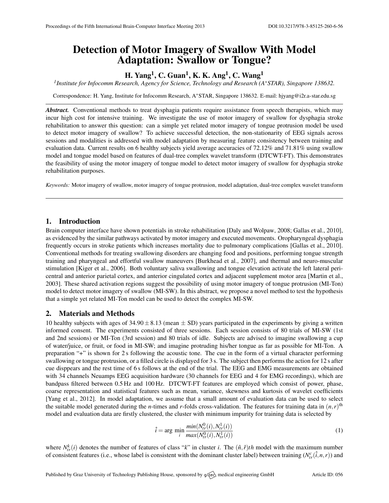# Detection of Motor Imagery of Swallow With Model Adaptation: Swallow or Tongue?

# H. Yang<sup>1</sup>, C. Guan<sup>1</sup>, K. K. Ang<sup>1</sup>, C. Wang<sup>1</sup>

*1 Institute for Infocomm Research, Agency for Science, Technology and Research (A*∗*STAR), Singapore 138632.*

Correspondence: H. Yang, Institute for Infocomm Research, A∗STAR, Singapore 138632. E-mail: [hjyang@i2r.a-star.edu.sg](mailto:hjyang@i2r.a-star.edu.sg)

*Abstract.* Conventional methods to treat dysphagia patients require assistance from speech therapists, which may incur high cost for intensive training. We investigate the use of motor imagery of swallow for dysphagia stroke rehabilitation to answer this question: can a simple yet related motor imagery of tongue protrusion model be used to detect motor imagery of swallow? To achieve successful detection, the non-stationarity of EEG signals across sessions and modalities is addressed with model adaptation by measuring feature consistency between training and evaluation data. Current results on 6 healthy subjects yield average accuracies of 72.12% and 71.81% using swallow model and tongue model based on features of dual-tree complex wavelet transform (DTCWT-FT). This demonstrates the feasibility of using the motor imagery of tongue model to detect motor imagery of swallow for dysphagia stroke rehabilitation purposes.

*Keywords:* Motor imagery of swallow, motor imagery of tongue protrusion, model adaptation, dual-tree complex wavelet transform

#### 1. Introduction

Brain computer interface have shown potentials in stroke rehabilitation [\[Daly and Wolpaw,](#page-1-0) [2008;](#page-1-0) [Gallas et al.,](#page-1-1) [2010\]](#page-1-1), as evidenced by the similar pathways activated by motor imagery and executed movements. Oropharyngeal dysphagia frequently occurs in stroke patients which increases mortality due to pulmonary complications [\[Gallas et al.,](#page-1-1) [2010\]](#page-1-1). Conventional methods for treating swallowing disorders are changing food and positions, performing tongue strength training and pharyngeal and effortful swallow maneuvers [\[Burkhead et al.,](#page-1-2) [2007\]](#page-1-2), and thermal and neuro-muscular stimulation [\[Kiger et al.,](#page-1-3) [2006\]](#page-1-3). Both voluntary saliva swallowing and tongue elevation activate the left lateral pericentral and anterior parietal cortex, and anterior cingulated cortex and adjacent supplement motor area [\[Martin et al.,](#page-1-4) [2003\]](#page-1-4). These shared activation regions suggest the possibility of using motor imagery of tongue protrusion (MI-Ton) model to detect motor imagery of swallow (MI-SW). In this abstract, we propose a novel method to test the hypothesis that a simple yet related MI-Ton model can be used to detect the complex MI-SW.

### 2. Materials and Methods

10 healthy subjects with ages of  $34.90 \pm 8.13$  (mean  $\pm$  SD) years participated in the experiments by giving a written informed consent. The experiments consisted of three sessions. Each session consists of 80 trials of MI-SW (1st and 2nd sessions) or MI-Ton (3rd session) and 80 trials of idle. Subjects are advised to imagine swallowing a cup of water/juice, or fruit, or food in MI-SW; and imagine protruding his/her tongue as far as possible for MI-Ton. A preparation "+" is shown for 2 s following the acoustic tone. The cue in the form of a virtual character performing swallowing or tongue protrusion, or a filled circle is displayed for 3 s. The subject then performs the action for 12 s after cue disppears and the rest time of 6 s follows at the end of the trial. The EEG and EMG measurements are obtained with 34 channels Neuamps EEG acquisition hardware (30 channels for EEG and 4 for EMG recordings), which are bandpass filtered between 0.5 Hz and 100 Hz. DTCWT-FT features are employed which consist of power, phase, coarse representation and statistical features such as mean, variance, skewness and kurtosis of wavelet coefficients [\[Yang et al.,](#page-1-5) [2012\]](#page-1-5). In model adaptation, we assume that a small amount of evaluation data can be used to select the suitable model generated during the *n*-times and *r*-folds cross-validation. The features for training data in  $(n, r)$ <sup>th</sup> model and evaluation data are firstly clustered, the cluster with minimum impurity for training data is selected by

$$
\hat{i} = \arg\min_{i} \frac{\min(N_{tr}^{0}(i), N_{tr}^{1}(i))}{\max(N_{tr}^{0}(i), N_{tr}^{1}(i))}
$$
\n(1)

where  $N_{tr}^{k}(i)$  denotes the number of features of class "*k*" in cluster *i*. The  $(\hat{n}, \hat{r})$ th model with the maximum number of consistent features (i.e., whose label is consistent with the dominant cluster label) between training  $(N_r^c(\hat{i}, n, r))$  and